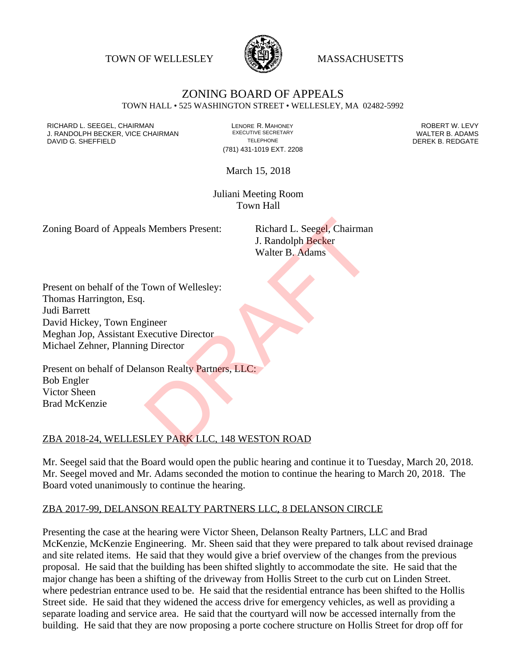TOWN OF WELLESLEY **WASSACHUSETTS** 



## ZONING BOARD OF APPEALS TOWN HALL • 525 WASHINGTON STREET • WELLESLEY, MA 02482-5992

RICHARD L. SEEGEL, CHAIRMAN LENORE R. MAHONEY ROBERT W. LEVY J. RANDOLPH BECKER, VICE CHAIRMAN EXECUTIVE SECRETARY THE SECRETARY THE SANDOLPH BECKER B. ADAMS<br>DEREK B. REDGATE TELEPHONE TELEPHONE TELEPHONE THE SAND DEREK B. REDGATE DAVID G. SHEFFIELD

(781) 431-1019 EXT. 2208

March 15, 2018

Juliani Meeting Room Town Hall

Zoning Board of Appeals Members Present: Richard L. Seegel, Chairman

J. Randolph Becker Walter B. Adams

Present on behalf of the Town of Wellesley: Thomas Harrington, Esq. Judi Barrett David Hickey, Town Engineer Meghan Jop, Assistant Executive Director Michael Zehner, Planning Director S Members Present:<br>
Richard L. Seegel, Chairman<br>
J. Randolph Becker<br>
Walter B. Adams<br>
Nown of Wellesley:<br>
Experience<br>
Recutive Director<br>
Experience<br>
Inson Realty Partners, LLC:<br>
LEY PARK LLC, 148 WESTON ROAD

Present on behalf of Delanson Realty Partners, LLC: Bob Engler Victor Sheen Brad McKenzie

## ZBA 2018-24, WELLESLEY PARK LLC, 148 WESTON ROAD

Mr. Seegel said that the Board would open the public hearing and continue it to Tuesday, March 20, 2018. Mr. Seegel moved and Mr. Adams seconded the motion to continue the hearing to March 20, 2018. The Board voted unanimously to continue the hearing.

## ZBA 2017-99, DELANSON REALTY PARTNERS LLC, 8 DELANSON CIRCLE

Presenting the case at the hearing were Victor Sheen, Delanson Realty Partners, LLC and Brad McKenzie, McKenzie Engineering. Mr. Sheen said that they were prepared to talk about revised drainage and site related items. He said that they would give a brief overview of the changes from the previous proposal. He said that the building has been shifted slightly to accommodate the site. He said that the major change has been a shifting of the driveway from Hollis Street to the curb cut on Linden Street. where pedestrian entrance used to be. He said that the residential entrance has been shifted to the Hollis Street side. He said that they widened the access drive for emergency vehicles, as well as providing a separate loading and service area. He said that the courtyard will now be accessed internally from the building. He said that they are now proposing a porte cochere structure on Hollis Street for drop off for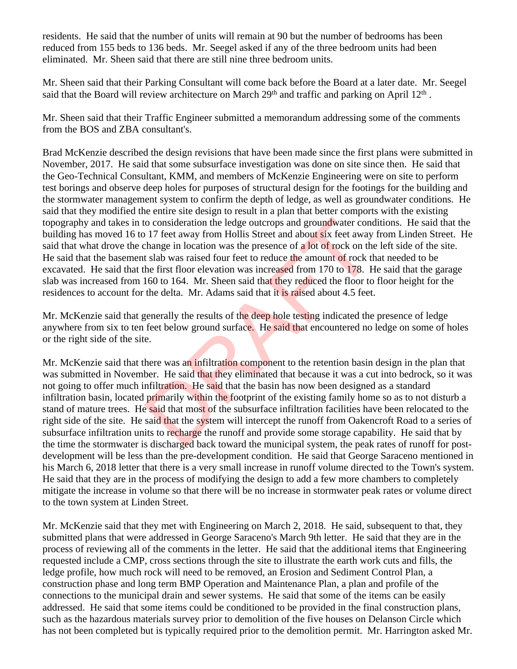residents. He said that the number of units will remain at 90 but the number of bedrooms has been reduced from 155 beds to 136 beds. Mr. Seegel asked if any of the three bedroom units had been eliminated. Mr. Sheen said that there are still nine three bedroom units.

Mr. Sheen said that their Parking Consultant will come back before the Board at a later date. Mr. Seegel said that the Board will review architecture on March 29<sup>th</sup> and traffic and parking on April 12<sup>th</sup>.

Mr. Sheen said that their Traffic Engineer submitted a memorandum addressing some of the comments from the BOS and ZBA consultant's.

Brad McKenzie described the design revisions that have been made since the first plans were submitted in November, 2017. He said that some subsurface investigation was done on site since then. He said that the Geo-Technical Consultant, KMM, and members of McKenzie Engineering were on site to perform test borings and observe deep holes for purposes of structural design for the footings for the building and the stormwater management system to confirm the depth of ledge, as well as groundwater conditions. He said that they modified the entire site design to result in a plan that better comports with the existing topography and takes in to consideration the ledge outcrops and groundwater conditions. He said that the building has moved 16 to 17 feet away from Hollis Street and about six feet away from Linden Street. He said that what drove the change in location was the presence of a lot of rock on the left side of the site. He said that the basement slab was raised four feet to reduce the amount of rock that needed to be excavated. He said that the first floor elevation was increased from 170 to 178. He said that the garage slab was increased from 160 to 164. Mr. Sheen said that they reduced the floor to floor height for the residences to account for the delta. Mr. Adams said that it is raised about 4.5 feet.

Mr. McKenzie said that generally the results of the deep hole testing indicated the presence of ledge anywhere from six to ten feet below ground surface. He said that encountered no ledge on some of holes or the right side of the site.

Mr. McKenzie said that there was an infiltration component to the retention basin design in the plan that was submitted in November. He said that they eliminated that because it was a cut into bedrock, so it was not going to offer much infiltration. He said that the basin has now been designed as a standard infiltration basin, located primarily within the footprint of the existing family home so as to not disturb a stand of mature trees. He said that most of the subsurface infiltration facilities have been relocated to the right side of the site. He said that the system will intercept the runoff from Oakencroft Road to a series of subsurface infiltration units to recharge the runoff and provide some storage capability. He said that by the time the stormwater is discharged back toward the municipal system, the peak rates of runoff for postdevelopment will be less than the pre-development condition. He said that George Saraceno mentioned in his March 6, 2018 letter that there is a very small increase in runoff volume directed to the Town's system. He said that they are in the process of modifying the design to add a few more chambers to completely mitigate the increase in volume so that there will be no increase in stormwater peak rates or volume direct to the town system at Linden Street. to consideration the ledge outcrops and groundwater condication the ledge outcrops and groundwater cond in the state of a lot of rock on the state in location was the presence of a lot of rock on the state first floor elev

Mr. McKenzie said that they met with Engineering on March 2, 2018. He said, subsequent to that, they submitted plans that were addressed in George Saraceno's March 9th letter. He said that they are in the process of reviewing all of the comments in the letter. He said that the additional items that Engineering requested include a CMP, cross sections through the site to illustrate the earth work cuts and fills, the ledge profile, how much rock will need to be removed, an Erosion and Sediment Control Plan, a construction phase and long term BMP Operation and Maintenance Plan, a plan and profile of the connections to the municipal drain and sewer systems. He said that some of the items can be easily addressed. He said that some items could be conditioned to be provided in the final construction plans, such as the hazardous materials survey prior to demolition of the five houses on Delanson Circle which has not been completed but is typically required prior to the demolition permit. Mr. Harrington asked Mr.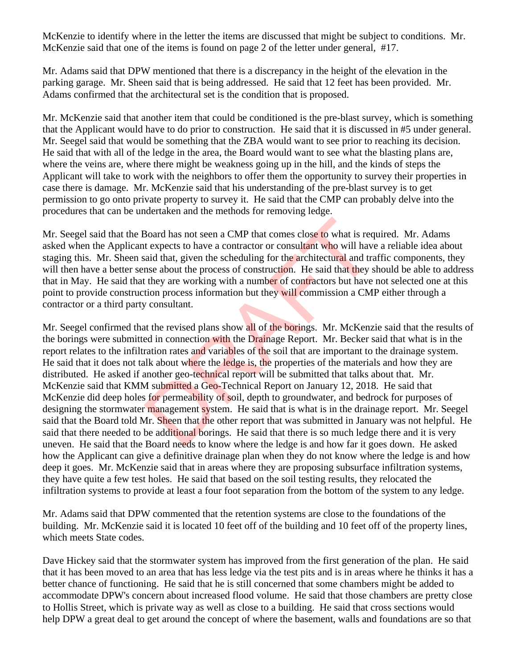McKenzie to identify where in the letter the items are discussed that might be subject to conditions. Mr. McKenzie said that one of the items is found on page 2 of the letter under general, #17.

Mr. Adams said that DPW mentioned that there is a discrepancy in the height of the elevation in the parking garage. Mr. Sheen said that is being addressed. He said that 12 feet has been provided. Mr. Adams confirmed that the architectural set is the condition that is proposed.

Mr. McKenzie said that another item that could be conditioned is the pre-blast survey, which is something that the Applicant would have to do prior to construction. He said that it is discussed in #5 under general. Mr. Seegel said that would be something that the ZBA would want to see prior to reaching its decision. He said that with all of the ledge in the area, the Board would want to see what the blasting plans are, where the veins are, where there might be weakness going up in the hill, and the kinds of steps the Applicant will take to work with the neighbors to offer them the opportunity to survey their properties in case there is damage. Mr. McKenzie said that his understanding of the pre-blast survey is to get permission to go onto private property to survey it. He said that the CMP can probably delve into the procedures that can be undertaken and the methods for removing ledge.

Mr. Seegel said that the Board has not seen a CMP that comes close to what is required. Mr. Adams asked when the Applicant expects to have a contractor or consultant who will have a reliable idea about staging this. Mr. Sheen said that, given the scheduling for the architectural and traffic components, they will then have a better sense about the process of construction. He said that they should be able to address that in May. He said that they are working with a number of contractors but have not selected one at this point to provide construction process information but they will commission a CMP either through a contractor or a third party consultant.

Mr. Seegel confirmed that the revised plans show all of the borings. Mr. McKenzie said that the results of the borings were submitted in connection with the Drainage Report. Mr. Becker said that what is in the report relates to the infiltration rates and variables of the soil that are important to the drainage system. He said that it does not talk about where the ledge is, the properties of the materials and how they are distributed. He asked if another geo-technical report will be submitted that talks about that. Mr. McKenzie said that KMM submitted a Geo-Technical Report on January 12, 2018. He said that McKenzie did deep holes for permeability of soil, depth to groundwater, and bedrock for purposes of designing the stormwater management system. He said that is what is in the drainage report. Mr. Seegel said that the Board told Mr. Sheen that the other report that was submitted in January was not helpful. He said that there needed to be additional borings. He said that there is so much ledge there and it is very uneven. He said that the Board needs to know where the ledge is and how far it goes down. He asked how the Applicant can give a definitive drainage plan when they do not know where the ledge is and how deep it goes. Mr. McKenzie said that in areas where they are proposing subsurface infiltration systems, they have quite a few test holes. He said that based on the soil testing results, they relocated the infiltration systems to provide at least a four foot separation from the bottom of the system to any ledge. Board has not seen a CMP that comes close to what is rect expects to have a contractor or consultant who will have said that, given the scheduling for the architectural and transe about the process of construction. He said

Mr. Adams said that DPW commented that the retention systems are close to the foundations of the building. Mr. McKenzie said it is located 10 feet off of the building and 10 feet off of the property lines, which meets State codes.

Dave Hickey said that the stormwater system has improved from the first generation of the plan. He said that it has been moved to an area that has less ledge via the test pits and is in areas where he thinks it has a better chance of functioning. He said that he is still concerned that some chambers might be added to accommodate DPW's concern about increased flood volume. He said that those chambers are pretty close to Hollis Street, which is private way as well as close to a building. He said that cross sections would help DPW a great deal to get around the concept of where the basement, walls and foundations are so that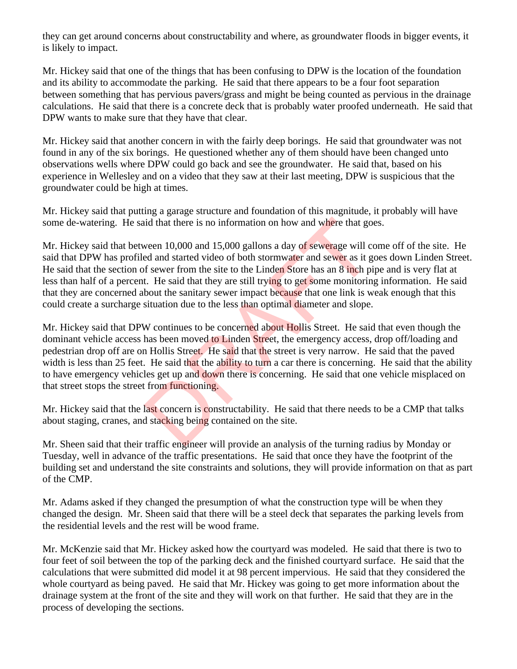they can get around concerns about constructability and where, as groundwater floods in bigger events, it is likely to impact.

Mr. Hickey said that one of the things that has been confusing to DPW is the location of the foundation and its ability to accommodate the parking. He said that there appears to be a four foot separation between something that has pervious pavers/grass and might be being counted as pervious in the drainage calculations. He said that there is a concrete deck that is probably water proofed underneath. He said that DPW wants to make sure that they have that clear.

Mr. Hickey said that another concern in with the fairly deep borings. He said that groundwater was not found in any of the six borings. He questioned whether any of them should have been changed unto observations wells where DPW could go back and see the groundwater. He said that, based on his experience in Wellesley and on a video that they saw at their last meeting, DPW is suspicious that the groundwater could be high at times.

Mr. Hickey said that putting a garage structure and foundation of this magnitude, it probably will have some de-watering. He said that there is no information on how and where that goes.

Mr. Hickey said that between 10,000 and 15,000 gallons a day of sewerage will come off of the site. He said that DPW has profiled and started video of both stormwater and sewer as it goes down Linden Street. He said that the section of sewer from the site to the Linden Store has an 8 inch pipe and is very flat at less than half of a percent. He said that they are still trying to get some monitoring information. He said that they are concerned about the sanitary sewer impact because that one link is weak enough that this could create a surcharge situation due to the less than optimal diameter and slope.

Mr. Hickey said that DPW continues to be concerned about Hollis Street. He said that even though the dominant vehicle access has been moved to Linden Street, the emergency access, drop off/loading and pedestrian drop off are on Hollis Street. He said that the street is very narrow. He said that the paved width is less than 25 feet. He said that the ability to turn a car there is concerning. He said that the ability to have emergency vehicles get up and down there is concerning. He said that one vehicle misplaced on that street stops the street from functioning. id that there is no information on how and where that go<br>ween 10,000 and 15,000 gallons a day of sewerage will come and started video of both stormwater and sewer as it g<br>f sewer from the site to the Linden Store has an 8

Mr. Hickey said that the last concern is constructability. He said that there needs to be a CMP that talks about staging, cranes, and stacking being contained on the site.

Mr. Sheen said that their traffic engineer will provide an analysis of the turning radius by Monday or Tuesday, well in advance of the traffic presentations. He said that once they have the footprint of the building set and understand the site constraints and solutions, they will provide information on that as part of the CMP.

Mr. Adams asked if they changed the presumption of what the construction type will be when they changed the design. Mr. Sheen said that there will be a steel deck that separates the parking levels from the residential levels and the rest will be wood frame.

Mr. McKenzie said that Mr. Hickey asked how the courtyard was modeled. He said that there is two to four feet of soil between the top of the parking deck and the finished courtyard surface. He said that the calculations that were submitted did model it at 98 percent impervious. He said that they considered the whole courtyard as being paved. He said that Mr. Hickey was going to get more information about the drainage system at the front of the site and they will work on that further. He said that they are in the process of developing the sections.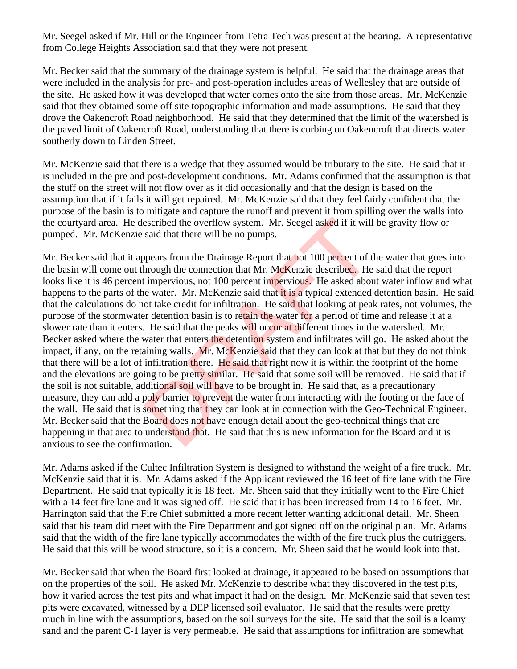Mr. Seegel asked if Mr. Hill or the Engineer from Tetra Tech was present at the hearing. A representative from College Heights Association said that they were not present.

Mr. Becker said that the summary of the drainage system is helpful. He said that the drainage areas that were included in the analysis for pre- and post-operation includes areas of Wellesley that are outside of the site. He asked how it was developed that water comes onto the site from those areas. Mr. McKenzie said that they obtained some off site topographic information and made assumptions. He said that they drove the Oakencroft Road neighborhood. He said that they determined that the limit of the watershed is the paved limit of Oakencroft Road, understanding that there is curbing on Oakencroft that directs water southerly down to Linden Street.

Mr. McKenzie said that there is a wedge that they assumed would be tributary to the site. He said that it is included in the pre and post-development conditions. Mr. Adams confirmed that the assumption is that the stuff on the street will not flow over as it did occasionally and that the design is based on the assumption that if it fails it will get repaired. Mr. McKenzie said that they feel fairly confident that the purpose of the basin is to mitigate and capture the runoff and prevent it from spilling over the walls into the courtyard area. He described the overflow system. Mr. Seegel asked if it will be gravity flow or pumped. Mr. McKenzie said that there will be no pumps.

Mr. Becker said that it appears from the Drainage Report that not 100 percent of the water that goes into the basin will come out through the connection that Mr. McKenzie described. He said that the report looks like it is 46 percent impervious, not 100 percent impervious. He asked about water inflow and what happens to the parts of the water. Mr. McKenzie said that it is a typical extended detention basin. He said that the calculations do not take credit for infiltration. He said that looking at peak rates, not volumes, the purpose of the stormwater detention basin is to retain the water for a period of time and release it at a slower rate than it enters. He said that the peaks will occur at different times in the watershed. Mr. Becker asked where the water that enters the detention system and infiltrates will go. He asked about the impact, if any, on the retaining walls. Mr. McKenzie said that they can look at that but they do not think that there will be a lot of infiltration there. He said that right now it is within the footprint of the home and the elevations are going to be pretty similar. He said that some soil will be removed. He said that if the soil is not suitable, additional soil will have to be brought in. He said that, as a precautionary measure, they can add a poly barrier to prevent the water from interacting with the footing or the face of the wall. He said that is something that they can look at in connection with the Geo-Technical Engineer. Mr. Becker said that the Board does not have enough detail about the geo-technical things that are happening in that area to understand that. He said that this is new information for the Board and it is anxious to see the confirmation. escribed the overflow system. Mr. Seegel asked if it will<br>said that there will be no pumps.<br>ppears from the Drainage Report that not 100 percent of t<br>hrough the connection that Mr. McKenzie described. He<br>impervious, not 10

Mr. Adams asked if the Cultec Infiltration System is designed to withstand the weight of a fire truck. Mr. McKenzie said that it is. Mr. Adams asked if the Applicant reviewed the 16 feet of fire lane with the Fire Department. He said that typically it is 18 feet. Mr. Sheen said that they initially went to the Fire Chief with a 14 feet fire lane and it was signed off. He said that it has been increased from 14 to 16 feet. Mr. Harrington said that the Fire Chief submitted a more recent letter wanting additional detail. Mr. Sheen said that his team did meet with the Fire Department and got signed off on the original plan. Mr. Adams said that the width of the fire lane typically accommodates the width of the fire truck plus the outriggers. He said that this will be wood structure, so it is a concern. Mr. Sheen said that he would look into that.

Mr. Becker said that when the Board first looked at drainage, it appeared to be based on assumptions that on the properties of the soil. He asked Mr. McKenzie to describe what they discovered in the test pits, how it varied across the test pits and what impact it had on the design. Mr. McKenzie said that seven test pits were excavated, witnessed by a DEP licensed soil evaluator. He said that the results were pretty much in line with the assumptions, based on the soil surveys for the site. He said that the soil is a loamy sand and the parent C-1 layer is very permeable. He said that assumptions for infiltration are somewhat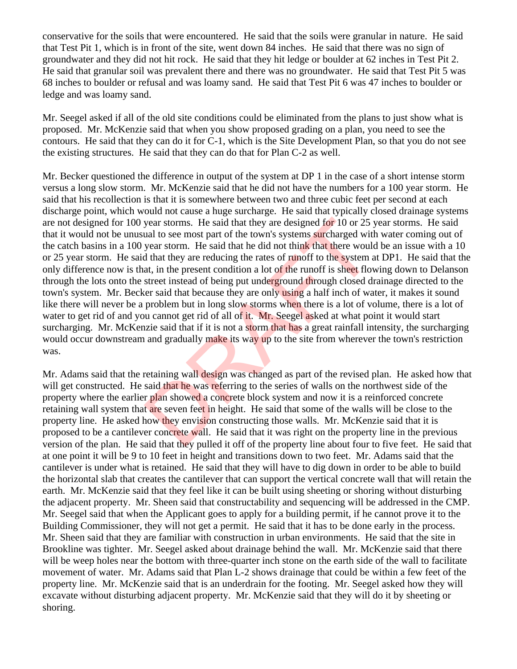conservative for the soils that were encountered. He said that the soils were granular in nature. He said that Test Pit 1, which is in front of the site, went down 84 inches. He said that there was no sign of groundwater and they did not hit rock. He said that they hit ledge or boulder at 62 inches in Test Pit 2. He said that granular soil was prevalent there and there was no groundwater. He said that Test Pit 5 was 68 inches to boulder or refusal and was loamy sand. He said that Test Pit 6 was 47 inches to boulder or ledge and was loamy sand.

Mr. Seegel asked if all of the old site conditions could be eliminated from the plans to just show what is proposed. Mr. McKenzie said that when you show proposed grading on a plan, you need to see the contours. He said that they can do it for C-1, which is the Site Development Plan, so that you do not see the existing structures. He said that they can do that for Plan C-2 as well.

Mr. Becker questioned the difference in output of the system at DP 1 in the case of a short intense storm versus a long slow storm. Mr. McKenzie said that he did not have the numbers for a 100 year storm. He said that his recollection is that it is somewhere between two and three cubic feet per second at each discharge point, which would not cause a huge surcharge. He said that typically closed drainage systems are not designed for 100 year storms. He said that they are designed for 10 or 25 year storms. He said that it would not be unusual to see most part of the town's systems surcharged with water coming out of the catch basins in a 100 year storm. He said that he did not think that there would be an issue with a 10 or 25 year storm. He said that they are reducing the rates of runoff to the system at DP1. He said that the only difference now is that, in the present condition a lot of the runoff is sheet flowing down to Delanson through the lots onto the street instead of being put underground through closed drainage directed to the town's system. Mr. Becker said that because they are only using a half inch of water, it makes it sound like there will never be a problem but in long slow storms when there is a lot of volume, there is a lot of water to get rid of and you cannot get rid of all of it. Mr. Seegel asked at what point it would start surcharging. Mr. McKenzie said that if it is not a storm that has a great rainfall intensity, the surcharging would occur downstream and gradually make its way up to the site from wherever the town's restriction was. year storms. He said that they are designed for 10 or 25 jual to see most part of the town's systems surcharged wit<br>year storm. He said that he did not think that there would<br>that they are reducing the rates of runoff to t

Mr. Adams said that the retaining wall design was changed as part of the revised plan. He asked how that will get constructed. He said that he was referring to the series of walls on the northwest side of the property where the earlier plan showed a concrete block system and now it is a reinforced concrete retaining wall system that are seven feet in height. He said that some of the walls will be close to the property line. He asked how they envision constructing those walls. Mr. McKenzie said that it is proposed to be a cantilever concrete wall. He said that it was right on the property line in the previous version of the plan. He said that they pulled it off of the property line about four to five feet. He said that at one point it will be 9 to 10 feet in height and transitions down to two feet. Mr. Adams said that the cantilever is under what is retained. He said that they will have to dig down in order to be able to build the horizontal slab that creates the cantilever that can support the vertical concrete wall that will retain the earth. Mr. McKenzie said that they feel like it can be built using sheeting or shoring without disturbing the adjacent property. Mr. Sheen said that constructability and sequencing will be addressed in the CMP. Mr. Seegel said that when the Applicant goes to apply for a building permit, if he cannot prove it to the Building Commissioner, they will not get a permit. He said that it has to be done early in the process. Mr. Sheen said that they are familiar with construction in urban environments. He said that the site in Brookline was tighter. Mr. Seegel asked about drainage behind the wall. Mr. McKenzie said that there will be weep holes near the bottom with three-quarter inch stone on the earth side of the wall to facilitate movement of water. Mr. Adams said that Plan L-2 shows drainage that could be within a few feet of the property line. Mr. McKenzie said that is an underdrain for the footing. Mr. Seegel asked how they will excavate without disturbing adjacent property. Mr. McKenzie said that they will do it by sheeting or shoring.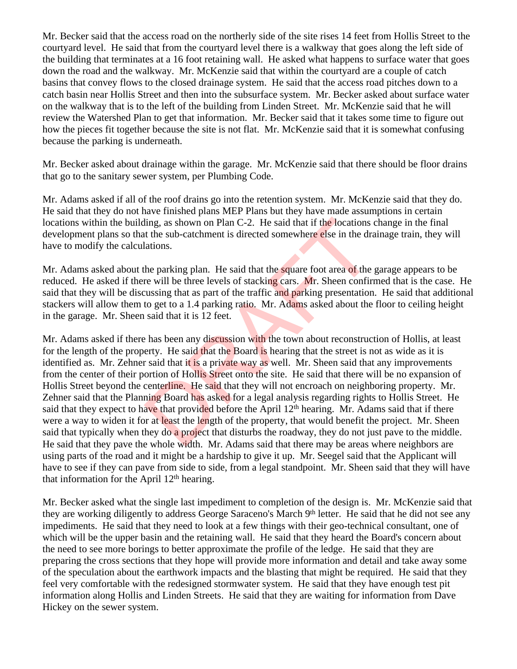Mr. Becker said that the access road on the northerly side of the site rises 14 feet from Hollis Street to the courtyard level. He said that from the courtyard level there is a walkway that goes along the left side of the building that terminates at a 16 foot retaining wall. He asked what happens to surface water that goes down the road and the walkway. Mr. McKenzie said that within the courtyard are a couple of catch basins that convey flows to the closed drainage system. He said that the access road pitches down to a catch basin near Hollis Street and then into the subsurface system. Mr. Becker asked about surface water on the walkway that is to the left of the building from Linden Street. Mr. McKenzie said that he will review the Watershed Plan to get that information. Mr. Becker said that it takes some time to figure out how the pieces fit together because the site is not flat. Mr. McKenzie said that it is somewhat confusing because the parking is underneath.

Mr. Becker asked about drainage within the garage. Mr. McKenzie said that there should be floor drains that go to the sanitary sewer system, per Plumbing Code.

Mr. Adams asked if all of the roof drains go into the retention system. Mr. McKenzie said that they do. He said that they do not have finished plans MEP Plans but they have made assumptions in certain locations within the building, as shown on Plan C-2. He said that if the locations change in the final development plans so that the sub-catchment is directed somewhere else in the drainage train, they will have to modify the calculations.

Mr. Adams asked about the parking plan. He said that the square foot area of the garage appears to be reduced. He asked if there will be three levels of stacking cars. Mr. Sheen confirmed that is the case. He said that they will be discussing that as part of the traffic and parking presentation. He said that additional stackers will allow them to get to a 1.4 parking ratio. Mr. Adams asked about the floor to ceiling height in the garage. Mr. Sheen said that it is 12 feet.

Mr. Adams asked if there has been any discussion with the town about reconstruction of Hollis, at least for the length of the property. He said that the Board is hearing that the street is not as wide as it is identified as. Mr. Zehner said that it is a private way as well. Mr. Sheen said that any improvements from the center of their portion of Hollis Street onto the site. He said that there will be no expansion of Hollis Street beyond the centerline. He said that they will not encroach on neighboring property. Mr. Zehner said that the Planning Board has asked for a legal analysis regarding rights to Hollis Street. He said that they expect to have that provided before the April 12<sup>th</sup> hearing. Mr. Adams said that if there were a way to widen it for at least the length of the property, that would benefit the project. Mr. Sheen said that typically when they do a project that disturbs the roadway, they do not just pave to the middle. He said that they pave the whole width. Mr. Adams said that there may be areas where neighbors are using parts of the road and it might be a hardship to give it up. Mr. Seegel said that the Applicant will have to see if they can pave from side to side, from a legal standpoint. Mr. Sheen said that they will have that information for the April  $12<sup>th</sup>$  hearing. ling, as shown on Plan C-2. He said that if the locations<br>the sub-catchment is directed somewhere else in the dra<br>lations.<br>the parking plan. He said that the square foot area of the<br>re will be three levels of stacking car

Mr. Becker asked what the single last impediment to completion of the design is. Mr. McKenzie said that they are working diligently to address George Saraceno's March 9th letter. He said that he did not see any impediments. He said that they need to look at a few things with their geo-technical consultant, one of which will be the upper basin and the retaining wall. He said that they heard the Board's concern about the need to see more borings to better approximate the profile of the ledge. He said that they are preparing the cross sections that they hope will provide more information and detail and take away some of the speculation about the earthwork impacts and the blasting that might be required. He said that they feel very comfortable with the redesigned stormwater system. He said that they have enough test pit information along Hollis and Linden Streets. He said that they are waiting for information from Dave Hickey on the sewer system.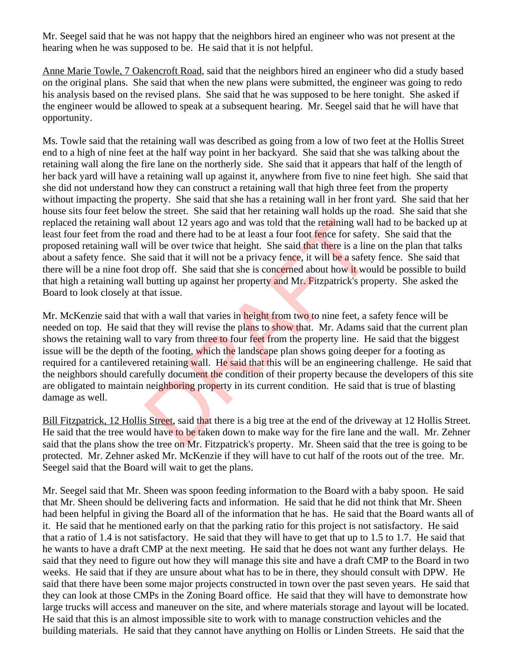Mr. Seegel said that he was not happy that the neighbors hired an engineer who was not present at the hearing when he was supposed to be. He said that it is not helpful.

Anne Marie Towle, 7 Oakencroft Road, said that the neighbors hired an engineer who did a study based on the original plans. She said that when the new plans were submitted, the engineer was going to redo his analysis based on the revised plans. She said that he was supposed to be here tonight. She asked if the engineer would be allowed to speak at a subsequent hearing. Mr. Seegel said that he will have that opportunity.

Ms. Towle said that the retaining wall was described as going from a low of two feet at the Hollis Street end to a high of nine feet at the half way point in her backyard. She said that she was talking about the retaining wall along the fire lane on the northerly side. She said that it appears that half of the length of her back yard will have a retaining wall up against it, anywhere from five to nine feet high. She said that she did not understand how they can construct a retaining wall that high three feet from the property without impacting the property. She said that she has a retaining wall in her front yard. She said that her house sits four feet below the street. She said that her retaining wall holds up the road. She said that she replaced the retaining wall about 12 years ago and was told that the retaining wall had to be backed up at least four feet from the road and there had to be at least a four foot fence for safety. She said that the proposed retaining wall will be over twice that height. She said that there is a line on the plan that talks about a safety fence. She said that it will not be a privacy fence, it will be a safety fence. She said that there will be a nine foot drop off. She said that she is concerned about how it would be possible to build that high a retaining wall butting up against her property and Mr. Fitzpatrick's property. She asked the Board to look closely at that issue.

Mr. McKenzie said that with a wall that varies in height from two to nine feet, a safety fence will be needed on top. He said that they will revise the plans to show that. Mr. Adams said that the current plan shows the retaining wall to vary from three to four feet from the property line. He said that the biggest issue will be the depth of the footing, which the landscape plan shows going deeper for a footing as required for a cantilevered retaining wall. He said that this will be an engineering challenge. He said that the neighbors should carefully document the condition of their property because the developers of this site are obligated to maintain neighboring property in its current condition. He said that is true of blasting damage as well. Ill about 12 years ago and was told that the retaining wall<br>and and there had to be at least a four foot fence for safety<br>will be over twice that height. She said that there is a line<br>said that it will not be a privacy fen

Bill Fitzpatrick, 12 Hollis Street, said that there is a big tree at the end of the driveway at 12 Hollis Street. He said that the tree would have to be taken down to make way for the fire lane and the wall. Mr. Zehner said that the plans show the tree on Mr. Fitzpatrick's property. Mr. Sheen said that the tree is going to be protected. Mr. Zehner asked Mr. McKenzie if they will have to cut half of the roots out of the tree. Mr. Seegel said that the Board will wait to get the plans.

Mr. Seegel said that Mr. Sheen was spoon feeding information to the Board with a baby spoon. He said that Mr. Sheen should be delivering facts and information. He said that he did not think that Mr. Sheen had been helpful in giving the Board all of the information that he has. He said that the Board wants all of it. He said that he mentioned early on that the parking ratio for this project is not satisfactory. He said that a ratio of 1.4 is not satisfactory. He said that they will have to get that up to 1.5 to 1.7. He said that he wants to have a draft CMP at the next meeting. He said that he does not want any further delays. He said that they need to figure out how they will manage this site and have a draft CMP to the Board in two weeks. He said that if they are unsure about what has to be in there, they should consult with DPW. He said that there have been some major projects constructed in town over the past seven years. He said that they can look at those CMPs in the Zoning Board office. He said that they will have to demonstrate how large trucks will access and maneuver on the site, and where materials storage and layout will be located. He said that this is an almost impossible site to work with to manage construction vehicles and the building materials. He said that they cannot have anything on Hollis or Linden Streets. He said that the